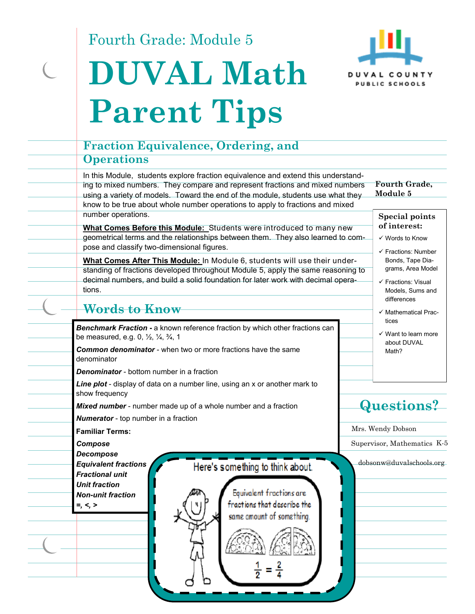Fourth Grade: Module 5

 $\overline{C}$ 





|  | <b>Fraction Equivalence, Ordering, and</b>                                                                                                                                                                                                                                                                                                                  |                                  |                                                                                                 |  |
|--|-------------------------------------------------------------------------------------------------------------------------------------------------------------------------------------------------------------------------------------------------------------------------------------------------------------------------------------------------------------|----------------------------------|-------------------------------------------------------------------------------------------------|--|
|  | <b>Operations</b>                                                                                                                                                                                                                                                                                                                                           |                                  |                                                                                                 |  |
|  | In this Module, students explore fraction equivalence and extend this understand-<br>ing to mixed numbers. They compare and represent fractions and mixed numbers<br>using a variety of models. Toward the end of the module, students use what they<br>know to be true about whole number operations to apply to fractions and mixed<br>number operations. | <b>Fourth Grade,</b><br>Module 5 |                                                                                                 |  |
|  | What Comes Before this Module: Students were introduced to many new<br>geometrical terms and the relationships between them. They also learned to com-<br>pose and classify two-dimensional figures.                                                                                                                                                        |                                  | <b>Special points</b><br>of interest:<br>✓ Words to Know<br>$\checkmark$ Fractions: Number      |  |
|  | What Comes After This Module: In Module 6, students will use their under-<br>standing of fractions developed throughout Module 5, apply the same reasoning to<br>decimal numbers, and build a solid foundation for later work with decimal opera-<br>tions.                                                                                                 |                                  | Bonds, Tape Dia-<br>grams, Area Model<br>√ Fractions: Visual<br>Models, Sums and<br>differences |  |
|  | Words to Know                                                                                                                                                                                                                                                                                                                                               |                                  | ✓ Mathematical Prac-                                                                            |  |
|  | Benchmark Fraction - a known reference fraction by which other fractions can<br>be measured, e.g. 0, 1/2, 1/4, 3/4, 1<br><b>Common denominator</b> - when two or more fractions have the same<br>denominator<br><b>Denominator</b> - bottom number in a fraction<br>Line plot - display of data on a number line, using an x or another mark to             |                                  | tices<br>$\checkmark$ Want to learn more<br>about DUVAL<br>Math?                                |  |
|  | show frequency<br>Mixed number - number made up of a whole number and a fraction<br><b>Numerator</b> - top number in a fraction                                                                                                                                                                                                                             |                                  | <b>Questions?</b>                                                                               |  |
|  | <b>Familiar Terms:</b>                                                                                                                                                                                                                                                                                                                                      |                                  | Mrs. Wendy Dobson                                                                               |  |
|  | Compose                                                                                                                                                                                                                                                                                                                                                     |                                  | Supervisor, Mathematics K-5                                                                     |  |
|  | <b>Decompose</b><br><b>Equivalent fractions</b><br>Here's something to think about.<br><b>Fractional unit</b><br><b>Unit fraction</b><br>Equivalent fractions are<br><b>Non-unit fraction</b><br>fractions that describe the<br>$=, <, >$<br>same amount of something.                                                                                      |                                  | dobsonw@duvalschools.org                                                                        |  |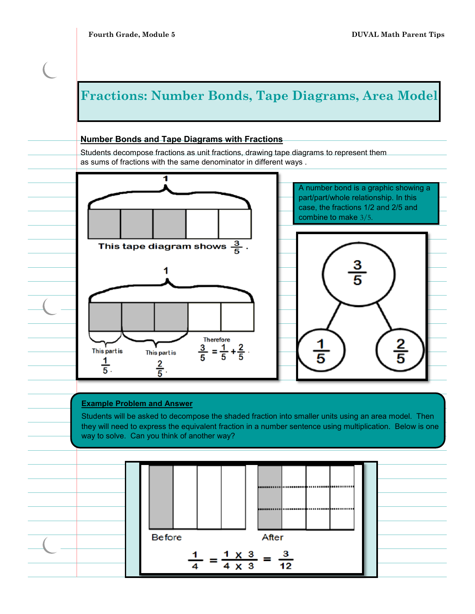z

# **Fractions: Number Bonds, Tape Diagrams, Area Model Number Bonds and Tape Diagrams with Fractions** Students decompose fractions as unit fractions, drawing tape diagrams to represent them as sums of fractions with the same denominator in different ways . 1 A number bond is a graphic showing a part/part/whole relationship. In this case, the fractions 1/2 and 2/5 and combine to make 3/5. This tape diagram shows  $\frac{3}{5}$ . <u>3</u><br>5 1





Students will be asked to decompose the shaded fraction into smaller units using an area model. Then they will need to express the equivalent fraction in a number sentence using multiplication. Below is one way to solve. Can you think of another way?

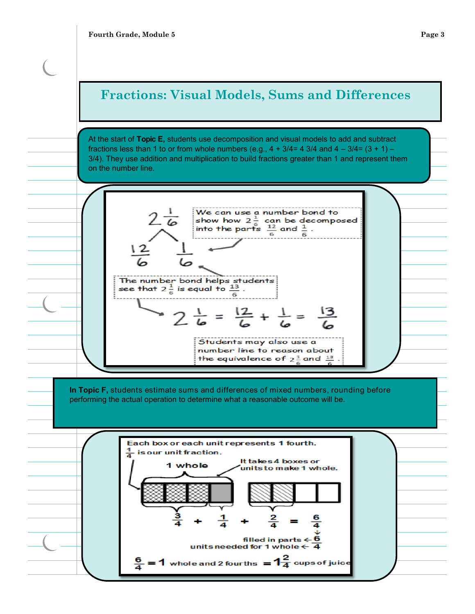### **Fractions: Visual Models, Sums and Differences**

At the start of **Topic E,** students use decomposition and visual models to add and subtract fractions less than 1 to or from whole numbers (e.g.,  $4 + 3/4 = 43/4$  and  $4 - 3/4 = (3 + 1) - 4$ 3/4). They use addition and multiplication to build fractions greater than 1 and represent them on the number line.



**In Topic F,** students estimate sums and differences of mixed numbers, rounding before performing the actual operation to determine what a reasonable outcome will be.